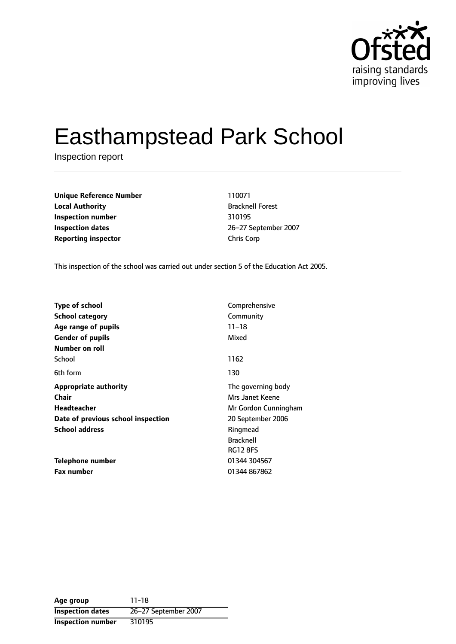

# Easthampstead Park School

Inspection report

| <b>Unique Reference Number</b> | 110071             |
|--------------------------------|--------------------|
| <b>Local Authority</b>         | <b>Bracknell F</b> |
| Inspection number              | 310195             |
| <b>Inspection dates</b>        | 26-27 Sep          |
| <b>Reporting inspector</b>     | <b>Chris Corp</b>  |

**Unique Reference Number** 110071 **Local Authority** Bracknell Forest **Inspection number** 310195 **Inspection dates** 2627 September 2007

This inspection of the school was carried out under section 5 of the Education Act 2005.

| <b>Type of school</b>              | Comprehensive        |
|------------------------------------|----------------------|
| <b>School category</b>             | Community            |
| Age range of pupils                | $11 - 18$            |
| <b>Gender of pupils</b>            | Mixed                |
| Number on roll                     |                      |
| School                             | 1162                 |
| 6th form                           | 130                  |
| <b>Appropriate authority</b>       | The governing body   |
| <b>Chair</b>                       | Mrs Janet Keene      |
| <b>Headteacher</b>                 | Mr Gordon Cunningham |
| Date of previous school inspection | 20 September 2006    |
| <b>School address</b>              | Ringmead             |
|                                    | <b>Bracknell</b>     |
|                                    | <b>RG12 8FS</b>      |
| Telephone number                   | 01344 304567         |
| <b>Fax number</b>                  | 01344 867862         |

**Age group** 11-18 **Inspection dates** 26-27 September 2007 **Inspection number** 310195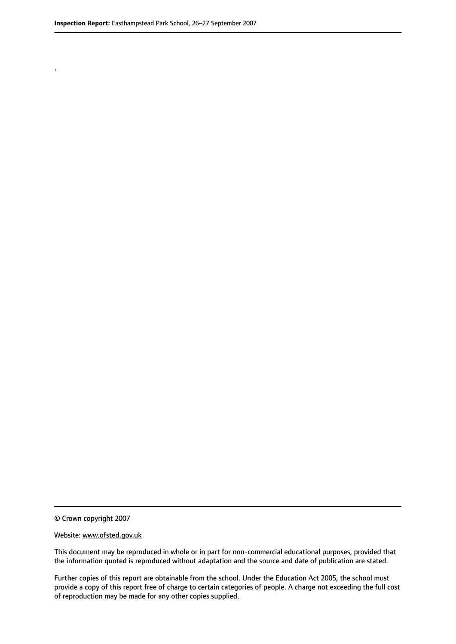.

© Crown copyright 2007

#### Website: www.ofsted.gov.uk

This document may be reproduced in whole or in part for non-commercial educational purposes, provided that the information quoted is reproduced without adaptation and the source and date of publication are stated.

Further copies of this report are obtainable from the school. Under the Education Act 2005, the school must provide a copy of this report free of charge to certain categories of people. A charge not exceeding the full cost of reproduction may be made for any other copies supplied.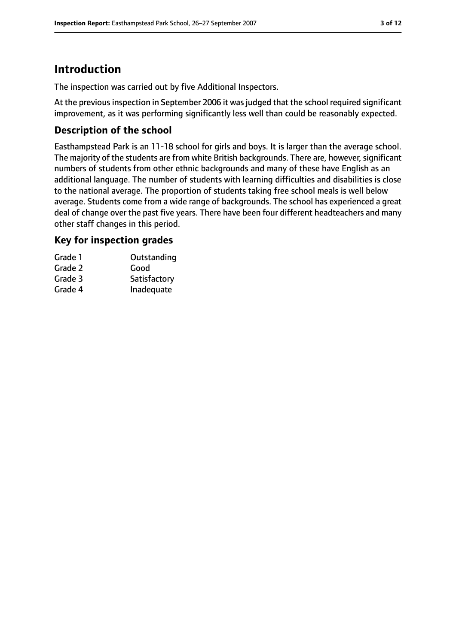# **Introduction**

The inspection was carried out by five Additional Inspectors.

At the previous inspection in September 2006 it was judged that the school required significant improvement, as it was performing significantly less well than could be reasonably expected.

## **Description of the school**

Easthampstead Park is an 11-18 school for girls and boys. It is larger than the average school. The majority of the students are from white British backgrounds. There are, however, significant numbers of students from other ethnic backgrounds and many of these have English as an additional language. The number of students with learning difficulties and disabilities is close to the national average. The proportion of students taking free school meals is well below average. Students come from a wide range of backgrounds. The school has experienced a great deal of change over the past five years. There have been four different headteachers and many other staff changes in this period.

## **Key for inspection grades**

| Grade 1 | Outstanding  |
|---------|--------------|
| Grade 2 | Good         |
| Grade 3 | Satisfactory |
| Grade 4 | Inadequate   |
|         |              |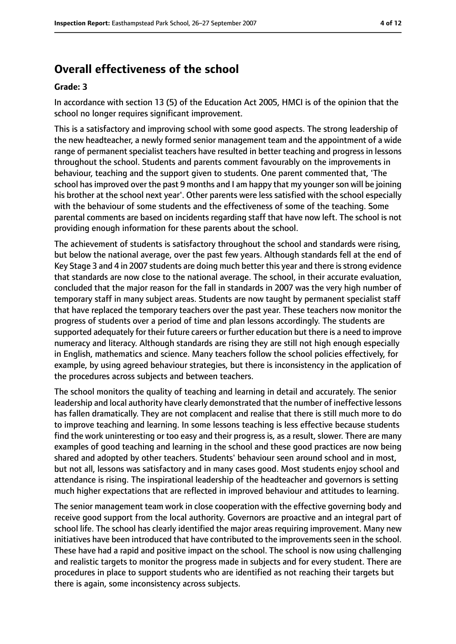# **Overall effectiveness of the school**

#### **Grade: 3**

In accordance with section 13 (5) of the Education Act 2005, HMCI is of the opinion that the school no longer requires significant improvement.

This is a satisfactory and improving school with some good aspects. The strong leadership of the new headteacher, a newly formed senior management team and the appointment of a wide range of permanent specialist teachers have resulted in better teaching and progress in lessons throughout the school. Students and parents comment favourably on the improvements in behaviour, teaching and the support given to students. One parent commented that, 'The school has improved over the past 9 months and I am happy that my younger son will be joining his brother at the school next year'. Other parents were less satisfied with the school especially with the behaviour of some students and the effectiveness of some of the teaching. Some parental comments are based on incidents regarding staff that have now left. The school is not providing enough information for these parents about the school.

The achievement of students is satisfactory throughout the school and standards were rising, but below the national average, over the past few years. Although standards fell at the end of Key Stage 3 and 4 in 2007 students are doing much better this year and there is strong evidence that standards are now close to the national average. The school, in their accurate evaluation, concluded that the major reason for the fall in standards in 2007 was the very high number of temporary staff in many subject areas. Students are now taught by permanent specialist staff that have replaced the temporary teachers over the past year. These teachers now monitor the progress of students over a period of time and plan lessons accordingly. The students are supported adequately for their future careers or further education but there is a need to improve numeracy and literacy. Although standards are rising they are still not high enough especially in English, mathematics and science. Many teachers follow the school policies effectively, for example, by using agreed behaviour strategies, but there is inconsistency in the application of the procedures across subjects and between teachers.

The school monitors the quality of teaching and learning in detail and accurately. The senior leadership and local authority have clearly demonstrated that the number of ineffective lessons has fallen dramatically. They are not complacent and realise that there is still much more to do to improve teaching and learning. In some lessons teaching is less effective because students find the work uninteresting or too easy and their progress is, as a result, slower. There are many examples of good teaching and learning in the school and these good practices are now being shared and adopted by other teachers. Students' behaviour seen around school and in most, but not all, lessons was satisfactory and in many cases good. Most students enjoy school and attendance is rising. The inspirational leadership of the headteacher and governors is setting much higher expectations that are reflected in improved behaviour and attitudes to learning.

The senior management team work in close cooperation with the effective governing body and receive good support from the local authority. Governors are proactive and an integral part of school life. The school has clearly identified the major areas requiring improvement. Many new initiatives have been introduced that have contributed to the improvements seen in the school. These have had a rapid and positive impact on the school. The school is now using challenging and realistic targets to monitor the progress made in subjects and for every student. There are procedures in place to support students who are identified as not reaching their targets but there is again, some inconsistency across subjects.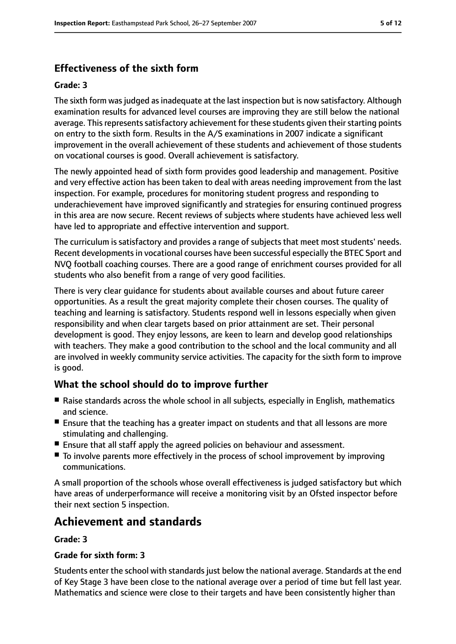# **Effectiveness of the sixth form**

#### **Grade: 3**

The sixth form was judged as inadequate at the last inspection but is now satisfactory. Although examination results for advanced level courses are improving they are still below the national average. This represents satisfactory achievement for these students given their starting points on entry to the sixth form. Results in the A/S examinations in 2007 indicate a significant improvement in the overall achievement of these students and achievement of those students on vocational courses is good. Overall achievement is satisfactory.

The newly appointed head of sixth form provides good leadership and management. Positive and very effective action has been taken to deal with areas needing improvement from the last inspection. For example, procedures for monitoring student progress and responding to underachievement have improved significantly and strategies for ensuring continued progress in this area are now secure. Recent reviews of subjects where students have achieved less well have led to appropriate and effective intervention and support.

The curriculum is satisfactory and provides a range of subjects that meet most students' needs. Recent developments in vocational courses have been successful especially the BTEC Sport and NVQ football coaching courses. There are a good range of enrichment courses provided for all students who also benefit from a range of very good facilities.

There is very clear guidance for students about available courses and about future career opportunities. As a result the great majority complete their chosen courses. The quality of teaching and learning is satisfactory. Students respond well in lessons especially when given responsibility and when clear targets based on prior attainment are set. Their personal development is good. They enjoy lessons, are keen to learn and develop good relationships with teachers. They make a good contribution to the school and the local community and all are involved in weekly community service activities. The capacity for the sixth form to improve is good.

## **What the school should do to improve further**

- Raise standards across the whole school in all subjects, especially in English, mathematics and science.
- Ensure that the teaching has a greater impact on students and that all lessons are more stimulating and challenging.
- Ensure that all staff apply the agreed policies on behaviour and assessment.
- To involve parents more effectively in the process of school improvement by improving communications.

A small proportion of the schools whose overall effectiveness is judged satisfactory but which have areas of underperformance will receive a monitoring visit by an Ofsted inspector before their next section 5 inspection.

# **Achievement and standards**

#### **Grade: 3**

#### **Grade for sixth form: 3**

Students enter the school with standards just below the national average. Standards at the end of Key Stage 3 have been close to the national average over a period of time but fell last year. Mathematics and science were close to their targets and have been consistently higher than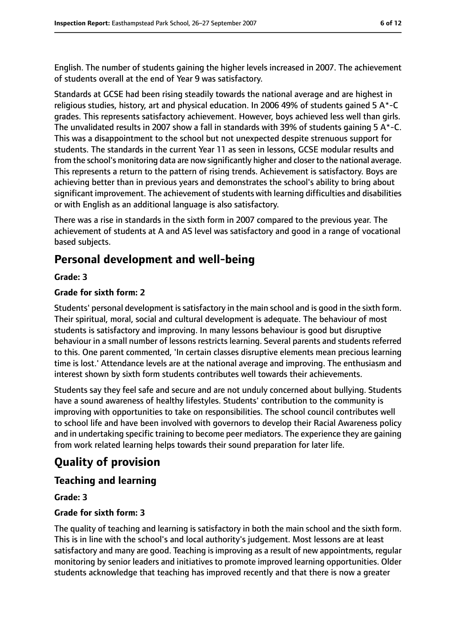English. The number of students gaining the higher levels increased in 2007. The achievement of students overall at the end of Year 9 was satisfactory.

Standards at GCSE had been rising steadily towards the national average and are highest in religious studies, history, art and physical education. In 2006 49% of students gained 5 A\*-C grades. This represents satisfactory achievement. However, boys achieved less well than girls. The unvalidated results in 2007 show a fall in standards with 39% of students gaining 5 A\*-C. This was a disappointment to the school but not unexpected despite strenuous support for students. The standards in the current Year 11 as seen in lessons, GCSE modular results and from the school's monitoring data are now significantly higher and closer to the national average. This represents a return to the pattern of rising trends. Achievement is satisfactory. Boys are achieving better than in previous years and demonstrates the school's ability to bring about significant improvement. The achievement of students with learning difficulties and disabilities or with English as an additional language is also satisfactory.

There was a rise in standards in the sixth form in 2007 compared to the previous year. The achievement of students at A and AS level was satisfactory and good in a range of vocational based subjects.

# **Personal development and well-being**

#### **Grade: 3**

#### **Grade for sixth form: 2**

Students' personal development issatisfactory in the main school and is good in the sixth form. Their spiritual, moral, social and cultural development is adequate. The behaviour of most students is satisfactory and improving. In many lessons behaviour is good but disruptive behaviour in a small number of lessons restricts learning. Several parents and students referred to this. One parent commented, 'In certain classes disruptive elements mean precious learning time is lost.' Attendance levels are at the national average and improving. The enthusiasm and interest shown by sixth form students contributes well towards their achievements.

Students say they feel safe and secure and are not unduly concerned about bullying. Students have a sound awareness of healthy lifestyles. Students' contribution to the community is improving with opportunities to take on responsibilities. The school council contributes well to school life and have been involved with governors to develop their Racial Awareness policy and in undertaking specific training to become peer mediators. The experience they are gaining from work related learning helps towards their sound preparation for later life.

# **Quality of provision**

#### **Teaching and learning**

#### **Grade: 3**

#### **Grade for sixth form: 3**

The quality of teaching and learning is satisfactory in both the main school and the sixth form. This is in line with the school's and local authority's judgement. Most lessons are at least satisfactory and many are good. Teaching is improving as a result of new appointments, regular monitoring by senior leaders and initiatives to promote improved learning opportunities. Older students acknowledge that teaching has improved recently and that there is now a greater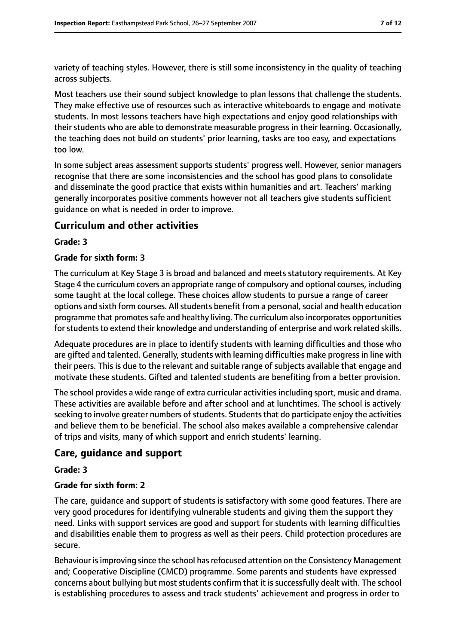variety of teaching styles. However, there is still some inconsistency in the quality of teaching across subjects.

Most teachers use their sound subject knowledge to plan lessons that challenge the students. They make effective use of resources such as interactive whiteboards to engage and motivate students. In most lessons teachers have high expectations and enjoy good relationships with their students who are able to demonstrate measurable progress in their learning. Occasionally, the teaching does not build on students' prior learning, tasks are too easy, and expectations too low.

In some subject areas assessment supports students' progress well. However, senior managers recognise that there are some inconsistencies and the school has good plans to consolidate and disseminate the good practice that exists within humanities and art. Teachers' marking generally incorporates positive comments however not all teachers give students sufficient guidance on what is needed in order to improve.

#### **Curriculum and other activities**

#### **Grade: 3**

#### **Grade for sixth form: 3**

The curriculum at Key Stage 3 is broad and balanced and meets statutory requirements. At Key Stage 4 the curriculum covers an appropriate range of compulsory and optional courses, including some taught at the local college. These choices allow students to pursue a range of career options and sixth form courses. All students benefit from a personal, social and health education programme that promotes safe and healthy living. The curriculum also incorporates opportunities for students to extend their knowledge and understanding of enterprise and work related skills.

Adequate procedures are in place to identify students with learning difficulties and those who are gifted and talented. Generally, students with learning difficulties make progress in line with their peers. This is due to the relevant and suitable range of subjects available that engage and motivate these students. Gifted and talented students are benefiting from a better provision.

The school provides a wide range of extra curricular activities including sport, music and drama. These activities are available before and after school and at lunchtimes. The school is actively seeking to involve greater numbers of students. Students that do participate enjoy the activities and believe them to be beneficial. The school also makes available a comprehensive calendar of trips and visits, many of which support and enrich students' learning.

#### **Care, guidance and support**

#### **Grade: 3**

#### **Grade for sixth form: 2**

The care, guidance and support of students is satisfactory with some good features. There are very good procedures for identifying vulnerable students and giving them the support they need. Links with support services are good and support for students with learning difficulties and disabilities enable them to progress as well as their peers. Child protection procedures are secure.

Behaviour is improving since the school has refocused attention on the Consistency Management and; Cooperative Discipline (CMCD) programme. Some parents and students have expressed concerns about bullying but most students confirm that it is successfully dealt with. The school is establishing procedures to assess and track students' achievement and progress in order to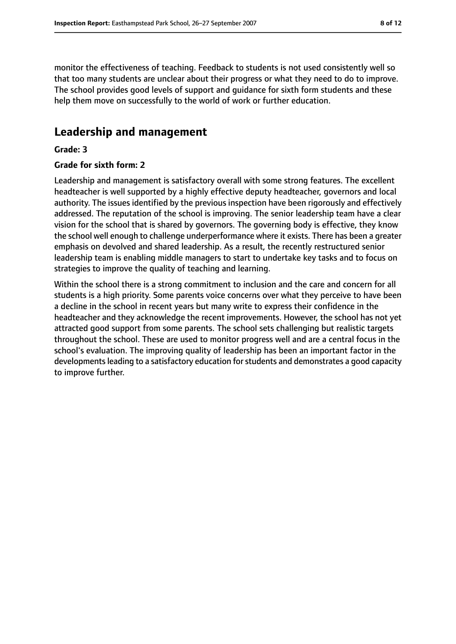monitor the effectiveness of teaching. Feedback to students is not used consistently well so that too many students are unclear about their progress or what they need to do to improve. The school provides good levels of support and guidance for sixth form students and these help them move on successfully to the world of work or further education.

# **Leadership and management**

#### **Grade: 3**

#### **Grade for sixth form: 2**

Leadership and management is satisfactory overall with some strong features. The excellent headteacher is well supported by a highly effective deputy headteacher, governors and local authority. The issues identified by the previous inspection have been rigorously and effectively addressed. The reputation of the school is improving. The senior leadership team have a clear vision for the school that is shared by governors. The governing body is effective, they know the school well enough to challenge underperformance where it exists. There has been a greater emphasis on devolved and shared leadership. As a result, the recently restructured senior leadership team is enabling middle managers to start to undertake key tasks and to focus on strategies to improve the quality of teaching and learning.

Within the school there is a strong commitment to inclusion and the care and concern for all students is a high priority. Some parents voice concerns over what they perceive to have been a decline in the school in recent years but many write to express their confidence in the headteacher and they acknowledge the recent improvements. However, the school has not yet attracted good support from some parents. The school sets challenging but realistic targets throughout the school. These are used to monitor progress well and are a central focus in the school's evaluation. The improving quality of leadership has been an important factor in the developments leading to a satisfactory education for students and demonstrates a good capacity to improve further.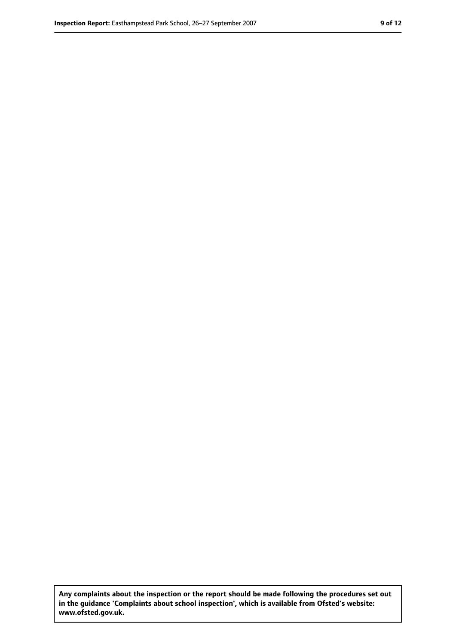**Any complaints about the inspection or the report should be made following the procedures set out in the guidance 'Complaints about school inspection', which is available from Ofsted's website: www.ofsted.gov.uk.**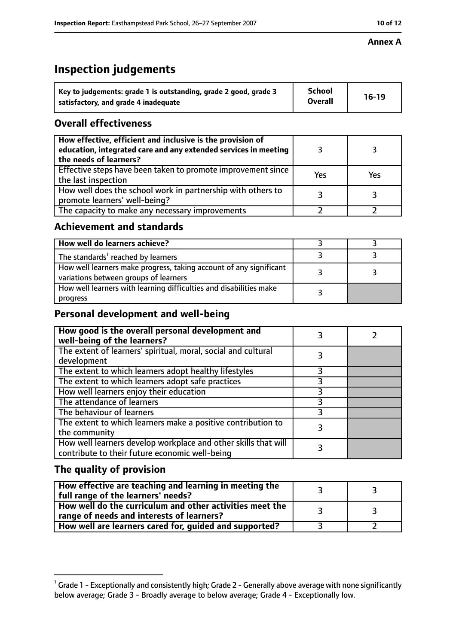#### **Annex A**

# **Inspection judgements**

| Key to judgements: grade 1 is outstanding, grade 2 good, grade 3 | <b>School</b>  | $16-19$ |
|------------------------------------------------------------------|----------------|---------|
| satisfactory, and grade 4 inadequate                             | <b>Overall</b> |         |

## **Overall effectiveness**

| How effective, efficient and inclusive is the provision of<br>education, integrated care and any extended services in meeting<br>the needs of learners? |     |     |
|---------------------------------------------------------------------------------------------------------------------------------------------------------|-----|-----|
| Effective steps have been taken to promote improvement since<br>the last inspection                                                                     | Yes | Yes |
| How well does the school work in partnership with others to<br>promote learners' well-being?                                                            |     |     |
| The capacity to make any necessary improvements                                                                                                         |     |     |

## **Achievement and standards**

| How well do learners achieve?                                                                               |  |
|-------------------------------------------------------------------------------------------------------------|--|
| The standards <sup>1</sup> reached by learners                                                              |  |
| How well learners make progress, taking account of any significant<br>variations between groups of learners |  |
| How well learners with learning difficulties and disabilities make<br>progress                              |  |

# **Personal development and well-being**

| How good is the overall personal development and<br>well-being of the learners?                                  |   |  |
|------------------------------------------------------------------------------------------------------------------|---|--|
| The extent of learners' spiritual, moral, social and cultural<br>development                                     | 3 |  |
| The extent to which learners adopt healthy lifestyles                                                            |   |  |
| The extent to which learners adopt safe practices                                                                |   |  |
| How well learners enjoy their education                                                                          |   |  |
| The attendance of learners                                                                                       |   |  |
| The behaviour of learners                                                                                        |   |  |
| The extent to which learners make a positive contribution to<br>the community                                    |   |  |
| How well learners develop workplace and other skills that will<br>contribute to their future economic well-being |   |  |

# **The quality of provision**

| How effective are teaching and learning in meeting the<br>full range of the learners' needs?          |    |
|-------------------------------------------------------------------------------------------------------|----|
| How well do the curriculum and other activities meet the<br>range of needs and interests of learners? | ્ર |
| How well are learners cared for, guided and supported?                                                |    |

 $^1$  Grade 1 - Exceptionally and consistently high; Grade 2 - Generally above average with none significantly below average; Grade 3 - Broadly average to below average; Grade 4 - Exceptionally low.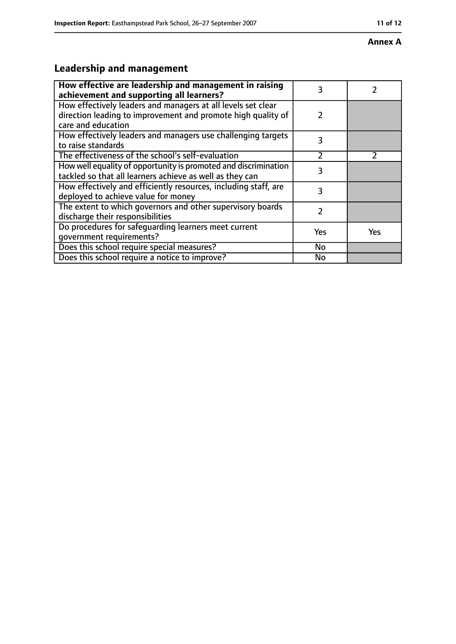#### **Annex A**

# **Leadership and management**

| How effective are leadership and management in raising<br>achievement and supporting all learners?                                                 | 3              |     |
|----------------------------------------------------------------------------------------------------------------------------------------------------|----------------|-----|
| How effectively leaders and managers at all levels set clear<br>direction leading to improvement and promote high quality of<br>care and education | 2              |     |
| How effectively leaders and managers use challenging targets<br>to raise standards                                                                 | 3              |     |
| The effectiveness of the school's self-evaluation                                                                                                  | $\overline{2}$ |     |
| How well equality of opportunity is promoted and discrimination<br>tackled so that all learners achieve as well as they can                        | 3              |     |
| How effectively and efficiently resources, including staff, are<br>deployed to achieve value for money                                             | 3              |     |
| The extent to which governors and other supervisory boards<br>discharge their responsibilities                                                     | 2              |     |
| Do procedures for safeguarding learners meet current<br>qovernment requirements?                                                                   | Yes            | Yes |
| Does this school require special measures?                                                                                                         | No             |     |
| Does this school require a notice to improve?                                                                                                      | No             |     |